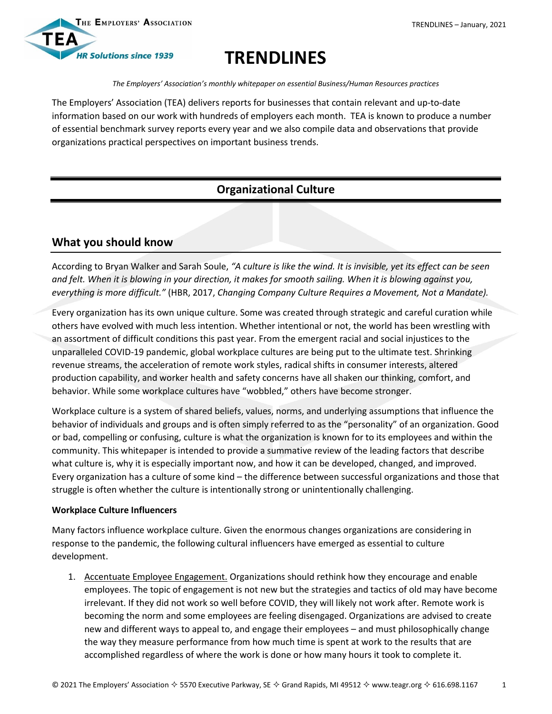

# **TRENDLINES**

*The Employers' Association's monthly whitepaper on essential Business/Human Resources practices*

The Employers' Association (TEA) delivers reports for businesses that contain relevant and up-to-date information based on our work with hundreds of employers each month. TEA is known to produce a number of essential benchmark survey reports every year and we also compile data and observations that provide organizations practical perspectives on important business trends.

# **Organizational Culture**

## **What you should know**

According to Bryan Walker and Sarah Soule, *"A culture is like the wind. It is invisible, yet its effect can be seen and felt. When it is blowing in your direction, it makes for smooth sailing. When it is blowing against you, everything is more difficult."* (HBR, 2017, *Changing Company Culture Requires a Movement, Not a Mandate).* 

Every organization has its own unique culture. Some was created through strategic and careful curation while others have evolved with much less intention. Whether intentional or not, the world has been wrestling with an assortment of difficult conditions this past year. From the emergent racial and social injustices to the unparalleled COVID-19 pandemic, global workplace cultures are being put to the ultimate test. Shrinking revenue streams, the acceleration of remote work styles, radical shifts in consumer interests, altered production capability, and worker health and safety concerns have all shaken our thinking, comfort, and behavior. While some workplace cultures have "wobbled," others have become stronger.

Workplace culture is a system of shared beliefs, values, norms, and underlying assumptions that influence the behavior of individuals and groups and is often simply referred to as the "personality" of an organization. Good or bad, compelling or confusing, culture is what the organization is known for to its employees and within the community. This whitepaper is intended to provide a summative review of the leading factors that describe what culture is, why it is especially important now, and how it can be developed, changed, and improved. Every organization has a culture of some kind – the difference between successful organizations and those that struggle is often whether the culture is intentionally strong or unintentionally challenging.

#### **Workplace Culture Influencers**

Many factors influence workplace culture. Given the enormous changes organizations are considering in response to the pandemic, the following cultural influencers have emerged as essential to culture development.

1. Accentuate Employee Engagement. Organizations should rethink how they encourage and enable employees. The topic of engagement is not new but the strategies and tactics of old may have become irrelevant. If they did not work so well before COVID, they will likely not work after. Remote work is becoming the norm and some employees are feeling disengaged. Organizations are advised to create new and different ways to appeal to, and engage their employees – and must philosophically change the way they measure performance from how much time is spent at work to the results that are accomplished regardless of where the work is done or how many hours it took to complete it.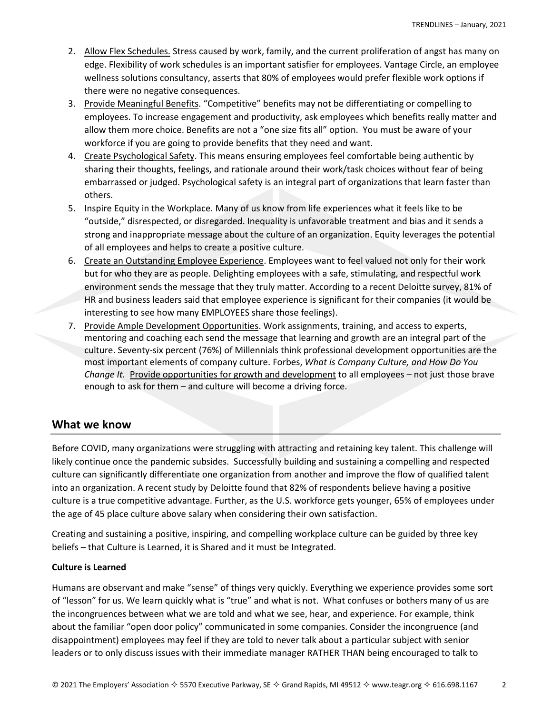- 2. Allow Flex Schedules. Stress caused by work, family, and the current proliferation of angst has many on edge. Flexibility of work schedules is an important satisfier for employees. Vantage Circle, an employee wellness solutions consultancy, asserts that 80% of employees would prefer flexible work options if there were no negative consequences.
- 3. Provide Meaningful Benefits. "Competitive" benefits may not be differentiating or compelling to employees. To increase engagement and productivity, ask employees which benefits really matter and allow them more choice. Benefits are not a "one size fits all" option. You must be aware of your workforce if you are going to provide benefits that they need and want.
- 4. Create Psychological Safety. This means ensuring employees feel comfortable being authentic by sharing their thoughts, feelings, and rationale around their work/task choices without fear of being embarrassed or judged. Psychological safety is an integral part of organizations that learn faster than others.
- 5. Inspire Equity in the Workplace. Many of us know from life experiences what it feels like to be "outside," disrespected, or disregarded. Inequality is unfavorable treatment and bias and it sends a strong and inappropriate message about the culture of an organization. Equity leverages the potential of all employees and helps to create a positive culture.
- 6. Create an Outstanding Employee Experience. Employees want to feel valued not only for their work but for who they are as people. Delighting employees with a safe, stimulating, and respectful work environment sends the message that they truly matter. According to a recent Deloitte survey, 81% of HR and business leaders said that employee experience is significant for their companies (it would be interesting to see how many EMPLOYEES share those feelings).
- 7. Provide Ample Development Opportunities. Work assignments, training, and access to experts, mentoring and coaching each send the message that learning and growth are an integral part of the culture. Seventy-six percent (76%) of Millennials think professional development opportunities are the most important elements of company culture. Forbes, *What is Company Culture, and How Do You Change It.* Provide opportunities for growth and development to all employees – not just those brave enough to ask for them – and culture will become a driving force.

### **What we know**

Before COVID, many organizations were struggling with attracting and retaining key talent. This challenge will likely continue once the pandemic subsides. Successfully building and sustaining a compelling and respected culture can significantly differentiate one organization from another and improve the flow of qualified talent into an organization. A recent study by Deloitte found that 82% of respondents believe having a positive culture is a true competitive advantage. Further, as the U.S. workforce gets younger, 65% of employees under the age of 45 place culture above salary when considering their own satisfaction.

Creating and sustaining a positive, inspiring, and compelling workplace culture can be guided by three key beliefs – that Culture is Learned, it is Shared and it must be Integrated.

#### **Culture is Learned**

Humans are observant and make "sense" of things very quickly. Everything we experience provides some sort of "lesson" for us. We learn quickly what is "true" and what is not. What confuses or bothers many of us are the incongruences between what we are told and what we see, hear, and experience. For example, think about the familiar "open door policy" communicated in some companies. Consider the incongruence (and disappointment) employees may feel if they are told to never talk about a particular subject with senior leaders or to only discuss issues with their immediate manager RATHER THAN being encouraged to talk to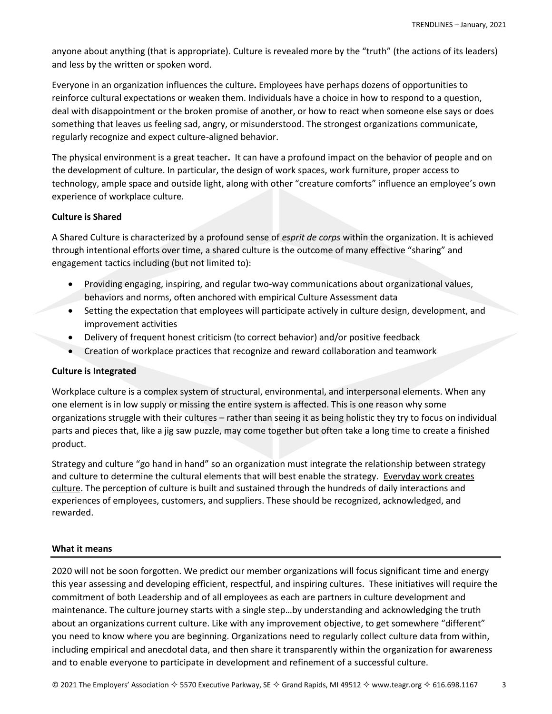anyone about anything (that is appropriate). Culture is revealed more by the "truth" (the actions of its leaders) and less by the written or spoken word.

Everyone in an organization influences the culture**.** Employees have perhaps dozens of opportunities to reinforce cultural expectations or weaken them. Individuals have a choice in how to respond to a question, deal with disappointment or the broken promise of another, or how to react when someone else says or does something that leaves us feeling sad, angry, or misunderstood. The strongest organizations communicate, regularly recognize and expect culture-aligned behavior.

The physical environment is a great teacher**.** It can have a profound impact on the behavior of people and on the development of culture. In particular, the design of work spaces, work furniture, proper access to technology, ample space and outside light, along with other "creature comforts" influence an employee's own experience of workplace culture.

#### **Culture is Shared**

A Shared Culture is characterized by a profound sense of *esprit de corps* within the organization. It is achieved through intentional efforts over time, a shared culture is the outcome of many effective "sharing" and engagement tactics including (but not limited to):

- Providing engaging, inspiring, and regular two-way communications about organizational values, behaviors and norms, often anchored with empirical Culture Assessment data
- Setting the expectation that employees will participate actively in culture design, development, and improvement activities
- Delivery of frequent honest criticism (to correct behavior) and/or positive feedback
- Creation of workplace practices that recognize and reward collaboration and teamwork

#### **Culture is Integrated**

Workplace culture is a complex system of structural, environmental, and interpersonal elements. When any one element is in low supply or missing the entire system is affected. This is one reason why some organizations struggle with their cultures – rather than seeing it as being holistic they try to focus on individual parts and pieces that, like a jig saw puzzle, may come together but often take a long time to create a finished product.

Strategy and culture "go hand in hand" so an organization must integrate the relationship between strategy and culture to determine the cultural elements that will best enable the strategy. Everyday work creates culture. The perception of culture is built and sustained through the hundreds of daily interactions and experiences of employees, customers, and suppliers. These should be recognized, acknowledged, and rewarded.

#### **What it means**

2020 will not be soon forgotten. We predict our member organizations will focus significant time and energy this year assessing and developing efficient, respectful, and inspiring cultures. These initiatives will require the commitment of both Leadership and of all employees as each are partners in culture development and maintenance. The culture journey starts with a single step…by understanding and acknowledging the truth about an organizations current culture. Like with any improvement objective, to get somewhere "different" you need to know where you are beginning. Organizations need to regularly collect culture data from within, including empirical and anecdotal data, and then share it transparently within the organization for awareness and to enable everyone to participate in development and refinement of a successful culture.